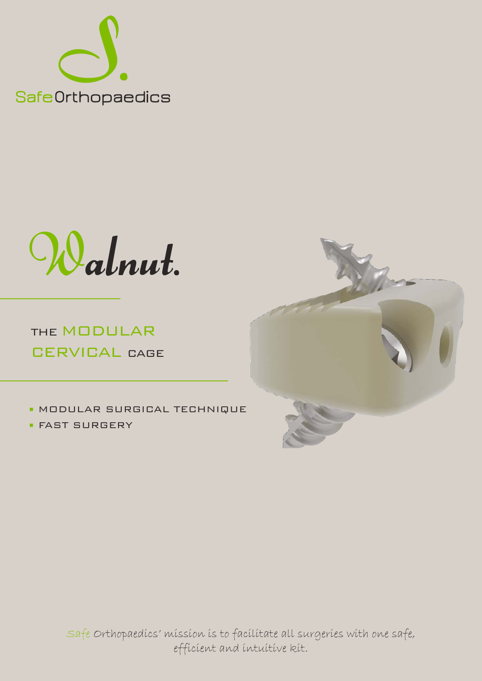

Walnut.

THE MODULAR CERVICAL CAGE

■ MODULAR SURGICAL TECHNIQUE

■ FAST SURGERY

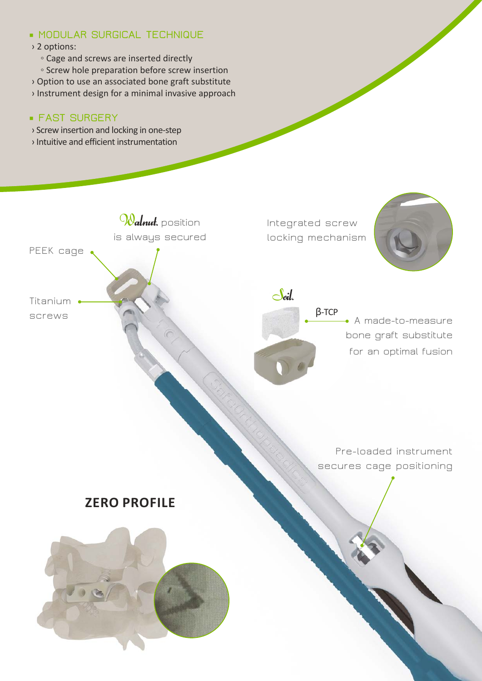### ■ **MODULAR SURGICAL TECHNIQUE**

- › 2 options:
	- Cage and screws are inserted directly
	- Screw hole preparation before screw insertion
- › Option to use an associated bone graft substitute
- › Instrument design for a minimal invasive approach

## ■ **FAST SURGERY**

- › Screw insertion and locking in one-step
- › Intuitive and efficient instrumentation

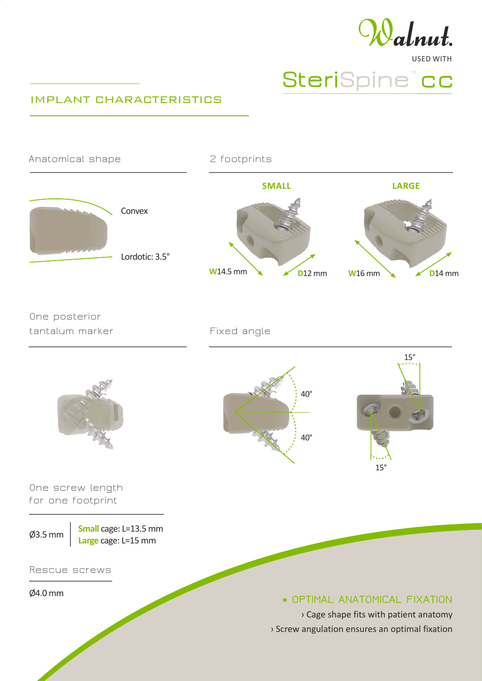

# USED WITH SteriSpine" cc

#### IMPLANT CHARACTERISTICS